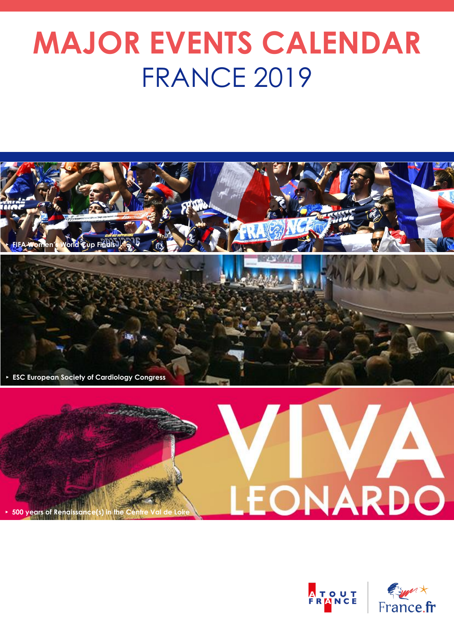# **MAJOR EVENTS CALENDAR** FRANCE 2019





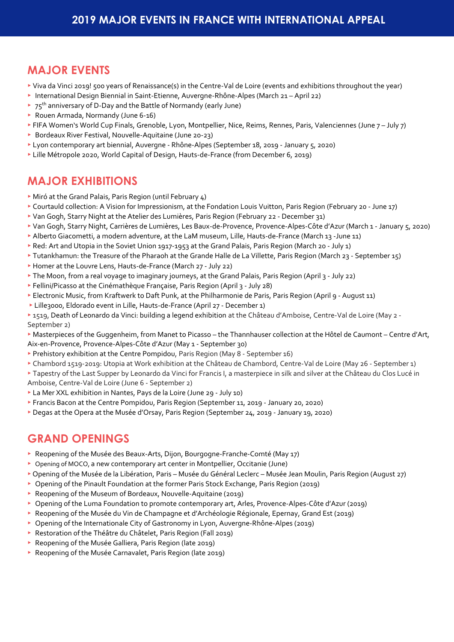### **MAJOR EVENTS**

- ▸ Viva da Vinci 2019! 500 years of Renaissance(s) in the Centre-Val de Loire (events and exhibitions throughout the year)
- ▸ International Design Biennial in Saint-Etienne, Auvergne-Rhône-Alpes (March 21 April 22)
- $\rightarrow$  75<sup>th</sup> anniversary of D-Day and the Battle of Normandy (early June)
- ▸ Rouen Armada, Normandy (June 6-16)
- ▸ FIFA Women's World Cup Finals, Grenoble, Lyon, Montpellier, Nice, Reims, Rennes, Paris, Valenciennes (June 7 July 7)
- ▶ Bordeaux River Festival, Nouvelle-Aquitaine (June 20-23)
- ▸ Lyon contemporary art biennial, Auvergne Rhône-Alpes (September 18, 2019 January 5, 2020)
- ▸ Lille Métropole 2020, World Capital of Design, Hauts-de-France (from December 6, 2019)

### **MAJOR EXHIBITIONS**

- ▸ Miró at the Grand Palais, Paris Region (until February 4)
- ▸ Courtauld collection: A Vision for Impressionism, at the Fondation Louis Vuitton, Paris Region (February 20 June 17)
- ▸ Van Gogh, Starry Night at the Atelier des Lumières, Paris Region (February 22 December 31)
- ▸ Van Gogh, Starry Night, Carrières de Lumières, Les Baux-de-Provence, Provence-Alpes-Côte d'Azur (March 1 January 5, 2020)
- ▸ Alberto Giacometti, a modern adventure, at the LaM museum, Lille, Hauts-de-France (March 13 -June 11)
- ▸ Red: Art and Utopia in the Soviet Union 1917-1953 at the Grand Palais, Paris Region (March 20 July 1)
- ▸ Tutankhamun: the Treasure of the Pharaoh at the Grande Halle de La Villette, Paris Region (March 23 September 15)
- ▸ Homer at the Louvre Lens, Hauts-de-France (March 27 July 22)
- ▸ The Moon, from a real voyage to imaginary journeys, at the Grand Palais, Paris Region (April 3 July 22)
- ▸ Fellini/Picasso at the Cinémathèque Française, Paris Region (April 3 July 28)
- ▸ Electronic Music, from Kraftwerk to Daft Punk, at the Philharmonie de Paris, Paris Region (April 9 August 11)
- ▸ Lille3000, Eldorado event in Lille, Hauts-de-France (April 27 December 1)
- ▸ 1519, Death of Leonardo da Vinci: building a legend exhibition at the Château d'Amboise, Centre-Val de Loire (May 2 September 2)
- ▸ Masterpieces of the Guggenheim, from Manet to Picasso the Thannhauser collection at the Hôtel de Caumont Centre d'Art, Aix-en-Provence, Provence-Alpes-Côte d'Azur (May 1 - September 30)
- ▸ Prehistory exhibition at the Centre Pompidou, Paris Region (May 8 September 16)
- ▸ Chambord 1519-2019: Utopia at Work exhibition at the Château de Chambord, Centre-Val de Loire (May 26 September 1)
- ▸ Tapestry of the Last Supper by Leonardo da Vinci for Francis I, a masterpiece in silk and silver at the Château du Clos Lucé in Amboise, Centre-Val de Loire (June 6 - September 2)
- ▸ La Mer XXL exhibition in Nantes, Pays de la Loire (June 29 July 10)
- ▸ Francis Bacon at the Centre Pompidou, Paris Region (September 11, 2019 January 20, 2020)
- ▸ Degas at the Opera at the Musée d'Orsay, Paris Region (September 24, 2019 January 19, 2020)

### **GRAND OPENINGS**

- ▸ Reopening of the Musée des Beaux-Arts, Dijon, Bourgogne-Franche-Comté (May 17)
- ▸ Opening of MOCO, a new contemporary art center in Montpellier, Occitanie (June)
- ▸ Opening of the Musée de la Libération, Paris Musée du Général Leclerc Musée Jean Moulin, Paris Region (August 27)
- ▸ Opening of the Pinault Foundation at the former Paris Stock Exchange, Paris Region (2019)
- ▸ Reopening of the Museum of Bordeaux, Nouvelle-Aquitaine (2019)
- ▸ Opening of the Luma Foundation to promote contemporary art, Arles, Provence-Alpes-Côte d'Azur (2019)
- ▸ Reopening of the Musée du Vin de Champagne et d'Archéologie Régionale, Epernay, Grand Est (2019)
- ▸ Opening of the Internationale City of Gastronomy in Lyon, Auvergne-Rhône-Alpes (2019)
- ▶ Restoration of the Théâtre du Châtelet, Paris Region (Fall 2019)
- ▶ Reopening of the Musée Galliera, Paris Region (late 2019)
- ▶ Reopening of the Musée Carnavalet, Paris Region (late 2019)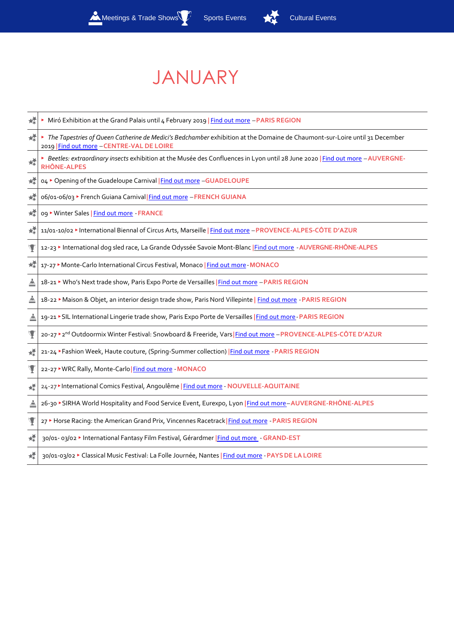

# JANUARY

| 嬄 | Miró Exhibition at the Grand Palais until 4 February 2019   Find out more - PARIS REGION                                                                                 |
|---|--------------------------------------------------------------------------------------------------------------------------------------------------------------------------|
| 媃 | The Tapestries of Queen Catherine de Medici's Bedchamber exhibition at the Domaine de Chaumont-sur-Loire until 31 December<br>2019   Find out more - CENTRE-VAL DE LOIRE |
| ゼ | Beetles: extraordinary insects exhibition at the Musée des Confluences in Lyon until 28 June 2020   Find out more - AUVERGNE-<br><b>RHÔNE-ALPES</b>                      |
| 媃 | o4 ▶ Opening of the Guadeloupe Carnival   Find out more -GUADELOUPE                                                                                                      |
| 幛 | 06/01-06/03 ▶ French Guiana Carnival Find out more - FRENCH GUIANA                                                                                                       |
| 糛 | og ▶ Winter Sales   Find out more - FRANCE                                                                                                                               |
| 媃 | 11/01-10/02 > International Biennal of Circus Arts, Marseille   Find out more - PROVENCE-ALPES-CÔTE D'AZUR                                                               |
| Y | 12-23 > International dog sled race, La Grande Odyssée Savoie Mont-Blanc   Find out more - AUVERGNE-RHÔNE-ALPES                                                          |
| 幛 | 17-27 Monte-Carlo International Circus Festival, Monaco   Find out more-MONACO                                                                                           |
| ≜ | 18-21 > Who's Next trade show, Paris Expo Porte de Versailles   Find out more - PARIS REGION                                                                             |
| ≜ | 18-22 Maison & Objet, an interior design trade show, Paris Nord Villepinte   Find out more - PARIS REGION                                                                |
| ≜ | 19-21 > SIL International Lingerie trade show, Paris Expo Porte de Versailles   Find out more - PARIS REGION                                                             |
| Y | 20-27 > 2 <sup>nd</sup> Outdoormix Winter Festival: Snowboard & Freeride, Vars Find out more - PROVENCE-ALPES-CÔTE D'AZUR                                                |
| 嬄 | 21-24 Fashion Week, Haute couture, (Spring-Summer collection)   Find out more - PARIS REGION                                                                             |
| Ţ | 22-27 WRC Rally, Monte-Carlo   Find out more - MONACO                                                                                                                    |
| 嬄 | 24-27 > International Comics Festival, Angoulême   Find out more - NOUVELLE-AQUITAINE                                                                                    |
| ≜ | 26-30 ▶ SIRHA World Hospitality and Food Service Event, Eurexpo, Lyon   Find out more-AUVERGNE-RHÔNE-ALPES                                                               |
| Y | 27 Horse Racing: the American Grand Prix, Vincennes Racetrack   Find out more - PARIS REGION                                                                             |
| 嬄 | 30/01- 03/02 > International Fantasy Film Festival, Gérardmer   Find out more - GRAND-EST                                                                                |
| 嬄 | 30/01-03/02 Classical Music Festival: La Folle Journée, Nantes   Find out more - PAYS DE LA LOIRE                                                                        |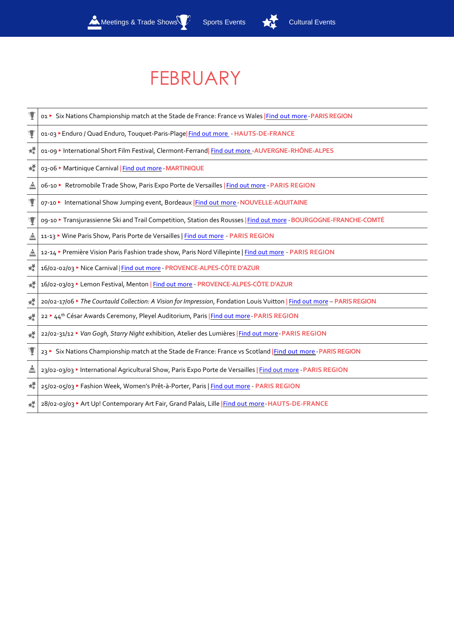

# FEBRUARY

| Ψ | o1 ► Six Nations Championship match at the Stade de France: France vs Wales Find out more - PARIS REGION                |
|---|-------------------------------------------------------------------------------------------------------------------------|
| Y | 01-03 > Enduro / Quad Enduro, Touquet-Paris-Plage  Find out more - HAUTS-DE-FRANCE                                      |
| 媃 | 01-09 MIternational Short Film Festival, Clermont-Ferrand Find out more - AUVERGNE-RHÔNE-ALPES                          |
| 嬄 | 03-06 Martinique Carnival   Find out more - MARTINIQUE                                                                  |
| ≜ | o6-10 ▶ Retromobile Trade Show, Paris Expo Porte de Versailles   Find out more - PARIS REGION                           |
| Y | o7-10 ► International Show Jumping event, Bordeaux Find out more - NOUVELLE-AQUITAINE                                   |
| Y | 09-10 > Transjurassienne Ski and Trail Competition, Station des Rousses   Find out more - BOURGOGNE-FRANCHE-COMTÉ       |
| ≜ | 11-13 > Wine Paris Show, Paris Porte de Versailles   Find out more - PARIS REGION                                       |
| ≜ | 12-14 Première Vision Paris Fashion trade show, Paris Nord Villepinte   Find out more - PARIS REGION                    |
| 檬 | 16/02-02/03 > Nice Carnival   Find out more - PROVENCE-ALPES-CÔTE D'AZUR                                                |
| 嬄 | 16/02-03/03 Lemon Festival, Menton   Find out more - PROVENCE-ALPES-CÔTE D'AZUR                                         |
| 耀 | 20/02-17/06 • The Courtauld Collection: A Vision for Impression, Fondation Louis Vuitton   Find out more - PARIS REGION |
| 耀 | 22 <sup>&gt;</sup> 44 <sup>th</sup> César Awards Ceremony, Pleyel Auditorium, Paris   Find out more - PARIS REGION      |
| 嬄 | 22/02-31/12 Van Gogh, Starry Night exhibition, Atelier des Lumières   Find out more - PARIS REGION                      |
| Y | 23 > Six Nations Championship match at the Stade de France: France vs Scotland   Find out more - PARIS REGION           |
| ≜ | 23/02-03/03 > International Agricultural Show, Paris Expo Porte de Versailles   Find out more - PARIS REGION            |
| 媃 | 25/02-05/03 Fashion Week, Women's Prêt-à-Porter, Paris   Find out more - PARIS REGION                                   |
| 嬄 | 28/02-03/03 > Art Up! Contemporary Art Fair, Grand Palais, Lille   Find out more - HAUTS-DE-FRANCE                      |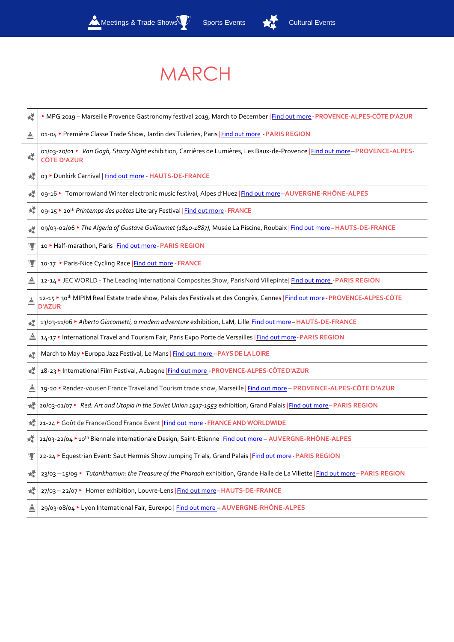

# MARCH

| 嬄 | > MPG 2019 - Marseille Provence Gastronomy festival 2019, March to December   Find out more - PROVENCE-ALPES-CÔTE D'AZUR                                  |
|---|-----------------------------------------------------------------------------------------------------------------------------------------------------------|
| ≜ | 01-04 > Première Classe Trade Show, Jardin des Tuileries, Paris   Find out more - PARIS REGION                                                            |
| 嬄 | o1/03-20/01 > Van Gogh, Starry Night exhibition, Carrières de Lumières, Les Baux-de-Provence   Find out more-PROVENCE-ALPES-<br><b>CÔTE D'AZUR</b>        |
| 嬁 | 03 > Dunkirk Carnival   Find out more - HAUTS-DE-FRANCE                                                                                                   |
| 嬄 | og-16 > Tomorrowland Winter electronic music festival, Alpes d'Huez   Find out more-AUVERGNE-RHÔNE-ALPES                                                  |
| 蝾 | 09-25 > 20 <sup>th</sup> Printemps des poètes Literary Festival   Find out more - FRANCE                                                                  |
| 蝾 | o9/03-02/06 > The Algeria of Gustave Guillaumet (1840-1887), Musée La Piscine, Roubaix   Find out more - HAUTS-DE-FRANCE                                  |
|   | 10 > Half-marathon, Paris   Find out more - PARIS REGION                                                                                                  |
|   | 10-17 ▶ Paris-Nice Cycling Race   Find out more - FRANCE                                                                                                  |
| ≜ | 12-14 > JEC WORLD - The Leading International Composites Show, ParisNord Villepinte  Find out more - PARIS REGION                                         |
|   | 12-15 > 30 <sup>th</sup> MIPIM Real Estate trade show, Palais des Festivals et des Congrès, Cannes   Find out more - PROVENCE-ALPES-CÔTE<br><b>D'AZUR</b> |
|   | 13/03-11/06 > Alberto Giacometti, a modern adventure exhibition, LaM, Lille Find out more-HAUTS-DE-FRANCE                                                 |
| ≜ | 14-17 > International Travel and Tourism Fair, Paris Expo Porte de Versailles   Find out more-PARIS REGION                                                |
| 蝾 | March to May > Europa Jazz Festival, Le Mans   Find out more - PAYS DE LA LOIRE                                                                           |
| 嬄 | 18-23 > International Film Festival, Aubagne Find out more - PROVENCE-ALPES-CÔTE D'AZUR                                                                   |
| ≜ | 19-20 > Rendez-vous en France Travel and Tourism trade show, Marseille   Find out more - PROVENCE-ALPES-CÔTE D'AZUR                                       |
| 嬄 | 20/03-01/07 ▶ Red: Art and Utopia in the Soviet Union 1917-1953 exhibition, Grand Palais   Find out more-PARIS REGION                                     |
|   | 21-24 Goût de France/Good France Event   Find out more - FRANCE AND WORLDWIDE                                                                             |
|   | 21/03-22/04 > 10th Biennale Internationale Design, Saint-Etienne   Find out more - AUVERGNE-RHÔNE-ALPES                                                   |
|   | 22-24 Equestrian Event: Saut Hermès Show Jumping Trials, Grand Palais   Find out more - PARIS REGION                                                      |
| 幪 | 23/03 - 15/09 ► Tutankhamun: the Treasure of the Pharaoh exhibition, Grande Halle de La Villette   Find out more - PARIS REGION                           |
| 檬 | 27/03 - 22/07 ▶ Homer exhibition, Louvre-Lens   Find out more-HAUTS-DE-FRANCE                                                                             |
|   | 29/03-08/04 > Lyon International Fair, Eurexpo   Find out more - AUVERGNE-RHÔNE-ALPES                                                                     |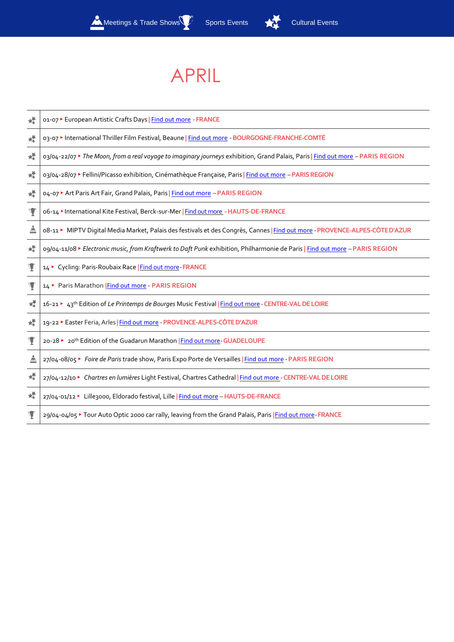

## APRIL

| 嬄 | 01-07 ► European Artistic Crafts Days   Find out more - FRANCE                                                                  |
|---|---------------------------------------------------------------------------------------------------------------------------------|
| 嬄 | 03-07 > International Thriller Film Festival, Beaune   Find out more - BOURGOGNE-FRANCHE-COMTÉ                                  |
| 媃 | 03/04-22/07 ★ The Moon, from a real voyage to imaginary journeys exhibition, Grand Palais, Paris   Find out more - PARIS REGION |
| 媃 | 03/04-28/07 Fellini/Picasso exhibition, Cinémathèque Française, Paris   Find out more - PARIS REGION                            |
| 媃 | 04-07 ★ Art Paris Art Fair, Grand Palais, Paris   Find out more - PARIS REGION                                                  |
| Y | o6-14 > International Kite Festival, Berck-sur-Mer   Find out more - HAUTS-DE-FRANCE                                            |
| ≜ | 08-11 MIPTV Digital Media Market, Palais des festivals et des Congrès, Cannes   Find out more - PROVENCE-ALPES-CÔTED'AZUR       |
| 媃 | o9/04-11/08 ► Electronic music, from Kraftwerk to Daft Punk exhibition, Philharmonie de Paris   Find out more - PARIS REGION    |
|   | 14 ► Cycling: Paris-Roubaix Race   Find out more-FRANCE                                                                         |
| Ψ | 14 Paris Marathon Find out more - PARIS REGION                                                                                  |
| 媃 | 16-21 ► 43 <sup>th</sup> Edition of Le Printemps de Bourges Music Festival   Find out more - CENTRE-VAL DE LOIRE                |
| 蝾 | 19-22 ▶ Easter Feria, Arles   Find out more - PROVENCE-ALPES-CÔTE D'AZUR                                                        |
| Y | 20-28 ▶ 20 <sup>th</sup> Edition of the Guadarun Marathon   Find out more - GUADELOUPE                                          |
| ≜ | 27/04-08/05 ► Foire de Paris trade show, Paris Expo Porte de Versailles   Find out more - PARIS REGION                          |
| 晕 | 27/04-12/10 • Chartres en lumières Light Festival, Chartres Cathedral   Find out more - CENTRE-VAL DE LOIRE                     |
| 糛 | 27/04-01/12 ▶ Lille3000, Eldorado festival, Lille   Find out more - HAUTS-DE-FRANCE                                             |
|   | 29/04-04/05 > Tour Auto Optic 2000 car rally, leaving from the Grand Palais, Paris   Find out more-FRANCE                       |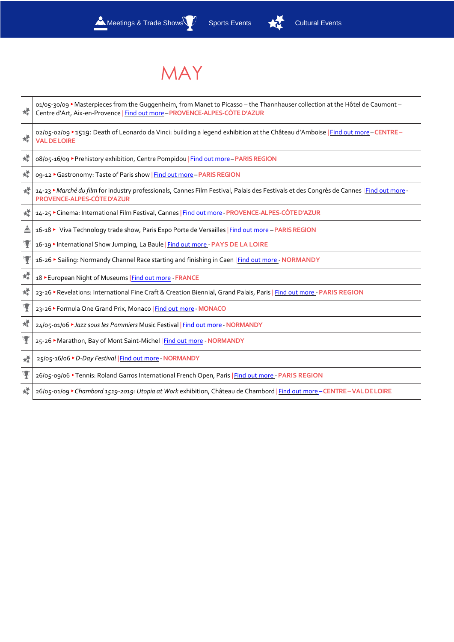

### MAY

| 嬄              | o1/o5-30/o9 ▶ Masterpieces from the Guggenheim, from Manet to Picasso - the Thannhauser collection at the Hôtel de Caumont -<br>Centre d'Art, Aix-en-Provence   Find out more - PROVENCE-ALPES-CÔTE D'AZUR |
|----------------|------------------------------------------------------------------------------------------------------------------------------------------------------------------------------------------------------------|
| 嬄              | o2/o5-o2/o9 > 1519: Death of Leonardo da Vinci: building a legend exhibition at the Château d'Amboise   Find out more - CENTRE -<br><b>VAL DE LOIRE</b>                                                    |
| 媃              | o8/o5-16/o9 ▶ Prehistory exhibition, Centre Pompidou   Find out more-PARIS REGION                                                                                                                          |
| 襸              | 09-12 Gastronomy: Taste of Paris show   Find out more - PARIS REGION                                                                                                                                       |
| 嬄              | 14-23 Marché du film for industry professionals, Cannes Film Festival, Palais des Festivals et des Congrès de Cannes   Find out more-<br>PROVENCE-ALPES-CÔTE D'AZUR                                        |
| 嬄              | 14-25 Cinema: International Film Festival, Cannes   Find out more - PROVENCE-ALPES-CÔTE D'AZUR                                                                                                             |
| ≜              | 16-18 > Viva Technology trade show, Paris Expo Porte de Versailles   Find out more - PARIS REGION                                                                                                          |
|                | 16-19 > International Show Jumping, La Baule   Find out more - PAYS DE LA LOIRE                                                                                                                            |
| Y              | 16-26 ► Sailing: Normandy Channel Race starting and finishing in Caen   Find out more - NORMANDY                                                                                                           |
| 蝾              | 18 ► European Night of Museums   Find out more - FRANCE                                                                                                                                                    |
| 襸              | 23-26 Revelations: International Fine Craft & Creation Biennial, Grand Palais, Paris   Find out more - PARIS REGION                                                                                        |
| $\mathbf \Psi$ | 23-26 ▶ Formula One Grand Prix, Monaco   Find out more - MONACO                                                                                                                                            |
| 襟              | 24/05-01/06 ► Jazz sous les Pommiers Music Festival   Find out more - NORMANDY                                                                                                                             |
| Ţ              | 25-26 Marathon, Bay of Mont Saint-Michel   Find out more - NORMANDY                                                                                                                                        |
| 耀              | 25/05-16/06 ▶ D-Day Festival   Find out more - NORMANDY                                                                                                                                                    |
| Ţ              | 26/05-09/06 Tennis: Roland Garros International French Open, Paris   Find out more - PARIS REGION                                                                                                          |
| 嬄              | 26/05-01/09 Chambord 1519-2019: Utopia at Work exhibition, Château de Chambord   Find out more - CENTRE - VAL DE LOIRE                                                                                     |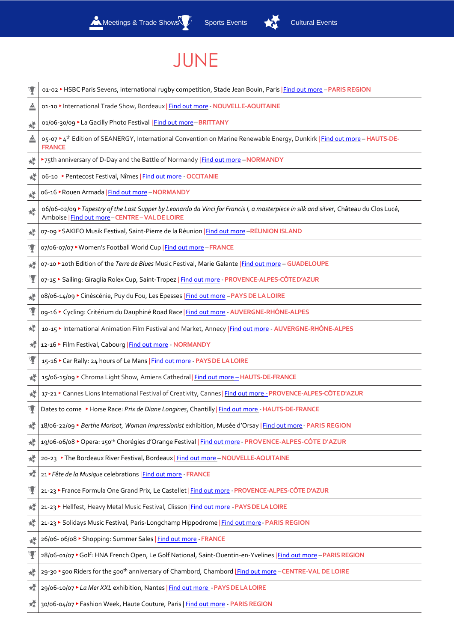



### JUNE

|   | 01-02 ► HSBC Paris Sevens, international rugby competition, Stade Jean Bouin, Paris   Find out more - PARIS REGION                                                                       |
|---|------------------------------------------------------------------------------------------------------------------------------------------------------------------------------------------|
| ≜ | 01-10 > International Trade Show, Bordeaux   Find out more - NOUVELLE-AQUITAINE                                                                                                          |
| 蝾 | 01/06-30/09 ▶La Gacilly Photo Festival   Find out more-BRITTANY                                                                                                                          |
| ≜ | 05-07 <sup>★</sup> 4 <sup>th</sup> Edition of SEANERGY, International Convention on Marine Renewable Energy, Dunkirk   Find out more - HAUTS-DE-<br><b>FRANCE</b>                        |
| 嬄 | >75th anniversary of D-Day and the Battle of Normandy   Find out more - NORMANDY                                                                                                         |
| 媃 | o6-10 ▶ Pentecost Festival, Nîmes   Find out more - OCCITANIE                                                                                                                            |
| 檬 | o6-16 ▶ Rouen Armada   Find out more - NORMANDY                                                                                                                                          |
| 幘 | o6/o6-o2/o9 ▶ Tapestry of the Last Supper by Leonardo da Vinci for Francis I, a masterpiece in silk and silver, Château du Clos Lucé,<br>Amboise   Find out more - CENTRE - VAL DE LOIRE |
| 幘 | 07-09 ▶ SAKIFO Musik Festival, Saint-Pierre de la Réunion   Find out more -RÉUNION ISLAND                                                                                                |
| Ч | 07/06-07/07 ▶ Women's Football World Cup   Find out more - FRANCE                                                                                                                        |
| 媃 | 07-10 > 20th Edition of the Terre de Blues Music Festival, Marie Galante   Find out more - GUADELOUPE                                                                                    |
| Y | 07-15 Sailing: Giraglia Rolex Cup, Saint-Tropez   Find out more - PROVENCE-ALPES-CÔTED'AZUR                                                                                              |
| 嬄 | 08/06-14/09 ► Cinèscénie, Puy du Fou, Les Epesses   Find out more - PAYS DE LA LOIRE                                                                                                     |
|   | og-16 Cycling: Critérium du Dauphiné Road Race   Find out more - AUVERGNE-RHÔNE-ALPES                                                                                                    |
| 幛 | 10-15 > International Animation Film Festival and Market, Annecy   Find out more - AUVERGNE-RHÔNE-ALPES                                                                                  |
| 襸 | 12-16 ▶ Film Festival, Cabourg   Find out more - NORMANDY                                                                                                                                |
| Ч | 15-16 Car Rally: 24 hours of Le Mans   Find out more - PAYS DE LA LOIRE                                                                                                                  |
| 耀 | 15/06-15/09 Chroma Light Show, Amiens Cathedral Find out more - HAUTS-DE-FRANCE                                                                                                          |
| 嬄 | 17-21 Cannes Lions International Festival of Creativity, Cannes   Find out more - PROVENCE-ALPES-CÔTE D'AZUR                                                                             |
|   | Dates to come ▶ Horse Race: Prix de Diane Longines, Chantilly Find out more - HAUTS-DE-FRANCE                                                                                            |
| 辉 | 18/06-22/09 > Berthe Morisot, Woman Impressionist exhibition, Musée d'Orsay   Find out more - PARIS REGION                                                                               |
| 媃 | 19/06-06/08 > Opera: 150 <sup>th</sup> Chorégies d'Orange Festival   Find out more - PROVENCE-ALPES-CÔTE D'AZUR                                                                          |
| 襸 | 20-23 ▶ The Bordeaux River Festival, Bordeaux   Find out more - NOUVELLE-AQUITAINE                                                                                                       |
| 耀 | 21 Fête de la Musique celebrations   Find out more - FRANCE                                                                                                                              |
| Y | 21-23 France Formula One Grand Prix, Le Castellet   Find out more - PROVENCE-ALPES-CÔTE D'AZUR                                                                                           |
| 嶫 | 21-23 Hellfest, Heavy Metal Music Festival, Clisson   Find out more - PAYS DE LA LOIRE                                                                                                   |
| 襸 | 21-23 Solidays Music Festival, Paris-Longchamp Hippodrome   Find out more - PARIS REGION                                                                                                 |
| 耀 | 26/06- 06/08 ▶ Shopping: Summer Sales   Find out more - FRANCE                                                                                                                           |
| Ч | 28/06-01/07 Golf: HNA French Open, Le Golf National, Saint-Quentin-en-Yvelines   Find out more - PARIS REGION                                                                            |
| 檬 | 29-30 > 500 Riders for the 500 <sup>th</sup> anniversary of Chambord, Chambord   Find out more - CENTRE-VAL DE LOIRE                                                                     |
| 檬 | 29/06-10/07 ▶ La Mer XXL exhibition, Nantes   Find out more - PAYS DE LA LOIRE                                                                                                           |
|   | 30/06-04/07 Fashion Week, Haute Couture, Paris   Find out more - PARIS REGION                                                                                                            |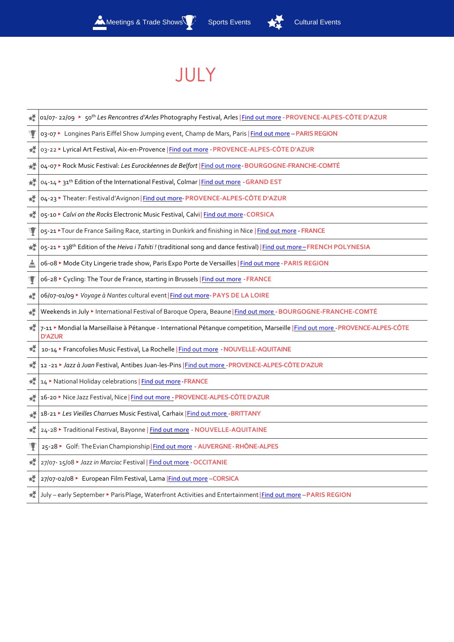

# JULY

| 嬄              | o1/o7-22/o9 ► 50th Les Rencontres d'Arles Photography Festival, Arles   Find out more - PROVENCE-ALPES-CÔTE D'AZUR                             |
|----------------|------------------------------------------------------------------------------------------------------------------------------------------------|
| Ψ              | 03-07 ► Longines Paris Eiffel Show Jumping event, Champ de Mars, Paris   Find out more - PARIS REGION                                          |
| 幪              | 03-22 ▶ Lyrical Art Festival, Aix-en-Provence   Find out more - PROVENCE-ALPES-CÔTE D'AZUR                                                     |
| 幛              | 04-07 > Rock Music Festival: Les Eurockéennes de Belfort   Find out more - BOURGOGNE-FRANCHE-COMTÉ                                             |
| 蝾              | 04-14 > 31 <sup>th</sup> Edition of the International Festival, Colmar   Find out more - GRAND EST                                             |
| 嬄              | 04-23 > Theater: Festival d'Avignon   Find out more-PROVENCE-ALPES-CÔTE D'AZUR                                                                 |
| 幪              | 05-10 Calvi on the Rocks Electronic Music Festival, Calvi Find out more - CORSICA                                                              |
| Y              | 05-21 <sup>▶</sup> Tour de France Sailing Race, starting in Dunkirk and finishing in Nice   Find out more - FRANCE                             |
| 螳              | o5-21 > 138 <sup>th</sup> Edition of the Heiva i Tahiti! (traditional song and dance festival)   Find out more-FRENCH POLYNESIA                |
| ≜              | o6-o8 > Mode City Lingerie trade show, Paris Expo Porte de Versailles   Find out more - PARIS REGION                                           |
| $\mathbf \Psi$ | o6-28 > Cycling: The Tour de France, starting in Brussels   Find out more - FRANCE                                                             |
| 幪              | o6/07-01/09 ▶ Voyage à Nantes cultural event   Find out more-PAYS DE LA LOIRE                                                                  |
| 檬              | Weekends in July > International Festival of Baroque Opera, Beaune   Find out more - BOURGOGNE-FRANCHE-COMTÉ                                   |
| 嬄              | 7-11 Mondial la Marseillaise à Pétanque - International Pétanque competition, Marseille   Find out more - PROVENCE-ALPES-CÔTE<br><b>D'AZUR</b> |
| 嬄              | 10-14 Francofolies Music Festival, La Rochelle   Find out more - NOUVELLE-AQUITAINE                                                            |
| 幛              | 12 -21 > Jazz à Juan Festival, Antibes Juan-les-Pins   Find out more - PROVENCE-ALPES-CÔTE D'AZUR                                              |
| 襸              | 14 > National Holiday celebrations   Find out more - FRANCE                                                                                    |
| 檬              | 16-20 Mice Jazz Festival, Nice   Find out more - PROVENCE-ALPES-CÔTE D'AZUR                                                                    |
| 蝾              | 18-21 Les Vieilles Charrues Music Festival, Carhaix Find out more - BRITTANY                                                                   |
| 檬              | 24-28 > Traditional Festival, Bayonne   Find out more - NOUVELLE-AQUITAINE                                                                     |
| Y              | 25-28 Golf: The Evian Championship   Find out more - AUVERGNE-RHÔNE-ALPES                                                                      |
| 檬              | 27/07-15/08 ▶ Jazz in Marciac Festival   Find out more - OCCITANIE                                                                             |
| 嬄              | 27/07-02/08 ► European Film Festival, Lama Find out more - CORSICA                                                                             |
| 襸              | July - early September > Paris Plage, Waterfront Activities and Entertainment   Find out more - PARIS REGION                                   |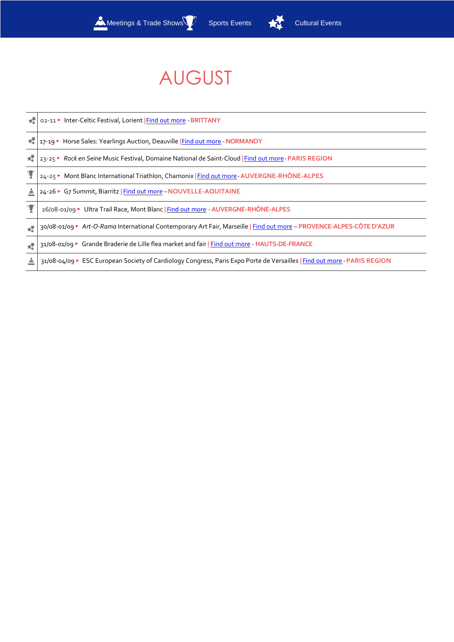

# AUGUST

| 嫬 | 02-11 > Inter-Celtic Festival, Lorient   Find out more - BRITTANY                                                        |
|---|--------------------------------------------------------------------------------------------------------------------------|
| 嬄 | 17-19 ► Horse Sales: Yearlings Auction, Deauville Find out more - NORMANDY                                               |
| 嬄 | 23-25 Rock en Seine Music Festival, Domaine National de Saint-Cloud   Find out more - PARIS REGION                       |
|   | 24-25 Mont Blanc International Triathlon, Chamonix   Find out more - AUVERGNE-RHÔNE-ALPES                                |
| 스 | 24-26 ★ G7 Summit, Biarritz   Find out more - NOUVELLE-AQUITAINE                                                         |
|   | 26/08-01/09 ▶ Ultra Trail Race, Mont Blanc   Find out more - AUVERGNE-RHÔNE-ALPES                                        |
| 憷 | 30/08-01/09 > Art-O-Rama International Contemporary Art Fair, Marseille   Find out more - PROVENCE-ALPES-CÔTE D'AZUR     |
| 蝾 | 31/08-01/09 ► Grande Braderie de Lille flea market and fair   Find out more - HAUTS-DE-FRANCE                            |
| ≜ | 31/08-04/09 ► ESC European Society of Cardiology Congress, Paris Expo Porte de Versailles   Find out more - PARIS REGION |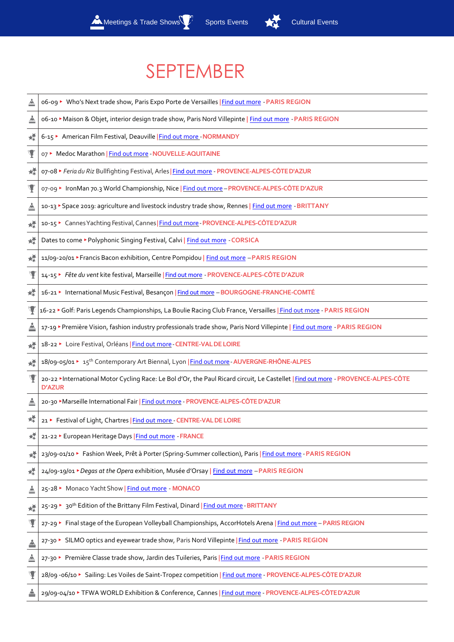



# SEPTEMBER

| ≜ | o6-og ► Who's Next trade show, Paris Expo Porte de Versailles   Find out more - PARIS REGION                                                       |
|---|----------------------------------------------------------------------------------------------------------------------------------------------------|
| ≜ | o6-10 Maison & Objet, interior design trade show, Paris Nord Villepinte   Find out more - PARIS REGION                                             |
| 媃 | 6-15 > American Film Festival, Deauville Find out more - NORMANDY                                                                                  |
| Y | o7 ▶ Medoc Marathon   Find out more - NOUVELLE-AQUITAINE                                                                                           |
| 螳 | o7-o8 ▶ Feria du Riz Bullfighting Festival, Arles   Find out more - PROVENCE-ALPES-CÔTE D'AZUR                                                     |
| Y | 07-09 > IronMan 70.3 World Championship, Nice   Find out more - PROVENCE-ALPES-CÔTE D'AZUR                                                         |
| ≜ | 10-13 Space 2019: agriculture and livestock industry trade show, Rennes   Find out more - BRITTANY                                                 |
| 幛 | 10-15 ▶ Cannes Yachting Festival, Cannes   Find out more - PROVENCE-ALPES-CÔTED'AZUR                                                               |
| 媃 | Dates to come ▶ Polyphonic Singing Festival, Calvi   Find out more - CORSICA                                                                       |
| 嬄 | 11/09-20/01 ▶ Francis Bacon exhibition, Centre Pompidou   Find out more - PARIS REGION                                                             |
| Y | 14-15 Fête du vent kite festival, Marseille   Find out more - PROVENCE-ALPES-CÔTE D'AZUR                                                           |
| 媃 | 16-21 > International Music Festival, Besançon   Find out more - BOURGOGNE-FRANCHE-COMTÉ                                                           |
|   | 16-22 Golf: Paris Legends Championships, La Boulie Racing Club France, Versailles Find out more - PARIS REGION                                     |
| ≜ | 17-19 > Première Vision, fashion industry professionals trade show, Paris Nord Villepinte   Find out more - PARIS REGION                           |
| 媃 | 18-22 ► Loire Festival, Orléans   Find out more - CENTRE-VAL DE LOIRE                                                                              |
| 檬 | 18/09-05/01 ► 15 <sup>th</sup> Contemporary Art Biennal, Lyon   Find out more - AUVERGNE-RHÔNE-ALPES                                               |
| Y | 20-22 MInternational Motor Cycling Race: Le Bol d'Or, the Paul Ricard circuit, Le Castellet   Find out more - PROVENCE-ALPES-CÔTE<br><b>D'AZUR</b> |
| ≜ | 20-30 Marseille International Fair   Find out more - PROVENCE-ALPES-CÔTE D'AZUR                                                                    |
| 媃 | 21 ▶ Festival of Light, Chartres   Find out more - CENTRE-VAL DE LOIRE                                                                             |
| 辉 | 21-22 European Heritage Days Find out more - FRANCE                                                                                                |
| 媃 | 23/09-01/10 ▶ Fashion Week, Prêt à Porter (Spring-Summer collection), Paris   Find out more - PARIS REGION                                         |
| 蝶 | 24/09-19/01 ▶ Degas at the Opera exhibition, Musée d'Orsay   Find out more - PARIS REGION                                                          |
| ≜ | 25-28 Monaco Yacht Show   Find out more - MONACO                                                                                                   |
| 蝾 | 25-29 > 30 <sup>th</sup> Edition of the Brittany Film Festival, Dinard   Find out more - BRITTANY                                                  |
| Y | 27-29 Final stage of the European Volleyball Championships, AccorHotels Arena   Find out more - PARIS REGION                                       |
| ≜ | 27-30 ► SILMO optics and eyewear trade show, Paris Nord Villepinte   Find out more - PARIS REGION                                                  |
| ≜ | 27-30 ▶ Première Classe trade show, Jardin des Tuileries, Paris   Find out more - PARIS REGION                                                     |
| Y | 28/09 -06/10 > Sailing: Les Voiles de Saint-Tropez competition   Find out more - PROVENCE-ALPES-CÔTE D'AZUR                                        |
| ≜ | 29/09-04/10 > TFWA WORLD Exhibition & Conference, Cannes   Find out more - PROVENCE-ALPES-CÔTE D'AZUR                                              |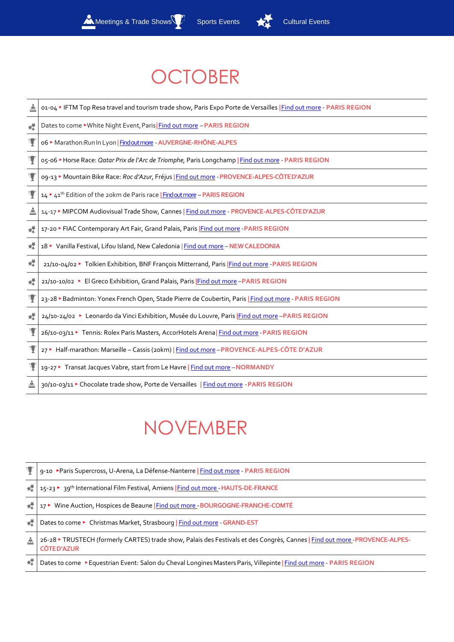

# **OCTOBER**

|   | 01-04 > IFTM Top Resa travel and tourism trade show, Paris Expo Porte de Versailles   Find out more - PARIS REGION |
|---|--------------------------------------------------------------------------------------------------------------------|
| 嬄 | Dates to come > White Night Event, Paris   Find out more - PARIS REGION                                            |
| Y | o6 ▶ Marathon: Run In Lyon   Findout more - AUVERGNE-RHÔNE-ALPES                                                   |
|   | o5-06 ► Horse Race: Qatar Prix de l'Arc de Triomphe, Paris Longchamp   Find out more - PARIS REGION                |
|   | og-13 Mountain Bike Race: Roc d'Azur, Fréjus   Find out more - PROVENCE-ALPES-CÔTE D'AZUR                          |
| Y | 14 L4 <sup>th</sup> Edition of the 20km de Paris race <b>Findoutmore</b> - <b>PARIS REGION</b>                     |
| 스 | 14-17 MIPCOM Audiovisual Trade Show, Cannes   Find out more - PROVENCE-ALPES-CÔTED'AZUR                            |
| 嬄 | 17-20 ► FIAC Contemporary Art Fair, Grand Palais, Paris Find out more - PARIS REGION                               |
| 嬄 | 18 > Vanilla Festival, Lifou Island, New Caledonia   Find out more - NEW CALEDONIA                                 |
| 嬄 | 21/10-04/02 ► Tolkien Exhibition, BNF François Mitterrand, Paris Find out more - PARIS REGION                      |
| 嬄 | 21/10-10/02 ► El Greco Exhibition, Grand Palais, Paris Find out more -PARIS REGION                                 |
| Y | 23-28 > Badminton: Yonex French Open, Stade Pierre de Coubertin, Paris   Find out more - PARIS REGION              |
| 嬄 | 24/10-24/02 > Leonardo da Vinci Exhibition, Musée du Louvre, Paris   Find out more - PARIS REGION                  |
| Y | 26/10-03/11 > Tennis: Rolex Paris Masters, AccorHotels Arena Find out more - PARIS REGION                          |
|   | 27 ► Half-marathon: Marseille - Cassis (20km)   Find out more - PROVENCE-ALPES-CÔTE D'AZUR                         |
|   | 19-27 > Transat Jacques Vabre, start from Le Havre   Find out more - NORMANDY                                      |
| ≜ | 30/10-03/11 Chocolate trade show, Porte de Versailles   Find out more - PARIS REGION                               |

# NOVEMBER

|   | 9-10 ▶Paris Supercross, U-Arena, La Défense-Nanterre   Find out more - PARIS REGION                                                            |
|---|------------------------------------------------------------------------------------------------------------------------------------------------|
| 城 | 15-23 > 39 <sup>th</sup> International Film Festival, Amiens   Find out more - HAUTS-DE-FRANCE                                                 |
| 憷 | 17 Vine Auction, Hospices de Beaune   Find out more - BOURGOGNE-FRANCHE-COMTÉ                                                                  |
| 锰 | Dates to come ▶ Christmas Market, Strasbourg   Find out more - GRAND-EST                                                                       |
| ≜ | 26-28 TRUSTECH (formerly CARTES) trade show, Palais des Festivals et des Congrès, Cannes   Find out more -PROVENCE-ALPES-<br><b>CÔTED'AZUR</b> |
| 嬄 | Dates to come ▶ Equestrian Event: Salon du Cheval Longines Masters Paris, Villepinte   Find out more - PARIS REGION                            |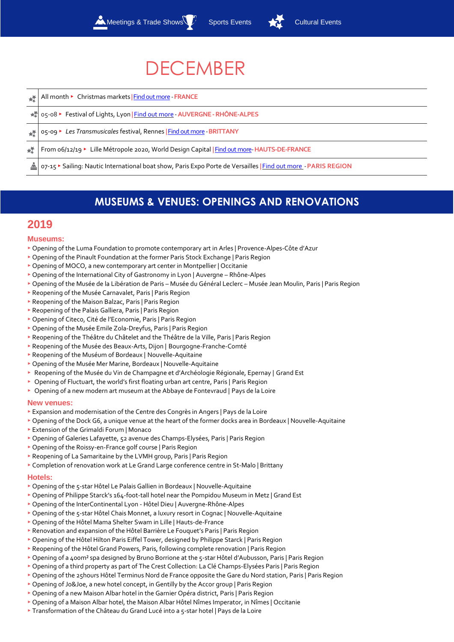# **DECEMBER**

|    | All month ► Christmas markets   Find out more - FRANCE                                                       |
|----|--------------------------------------------------------------------------------------------------------------|
| 太子 | o5-o8 ► Festival of Lights, Lyon   Find out more - AUVERGNE - RHÔNE-ALPES                                    |
|    | 05-09 ▶ Les Transmusicales festival, Rennes   Find out more - BRITTANY                                       |
| 锰  | From 06/12/19 ► Lille Métropole 2020, World Design Capital   Find out more-HAUTS-DE-FRANCE                   |
|    | 07-15 Sailing: Nautic International boat show, Paris Expo Porte de Versailles   Find out more - PARIS REGION |

### **MUSEUMS & VENUES: OPENINGS AND RENOVATIONS**

### **2019**

#### **Museums:**

- ▸ Opening of the Luma Foundation to promote contemporary art in Arles | Provence-Alpes-Côte d'Azur
- ▸ Opening of the Pinault Foundation at the former Paris Stock Exchange | Paris Region
- ▸ Opening of MOCO, a new contemporary art center in Montpellier | Occitanie
- ▸ Opening of the International City of Gastronomy in Lyon | Auvergne Rhône-Alpes
- ▸ Opening of the Musée de la Libération de Paris Musée du Général Leclerc Musée Jean Moulin, Paris | Paris Region
- ▶ Reopening of the Musée Carnavalet, Paris | Paris Region
- ▸ Reopening of the Maison Balzac, Paris | Paris Region
- ▶ Reopening of the Palais Galliera, Paris | Paris Region
- ▸ Opening of Citeco, Cité de l'Economie, Paris | Paris Region
- ▸ Opening of the Musée Emile Zola-Dreyfus, Paris | Paris Region
- ▸ Reopening of the Théâtre du Châtelet and the Théâtre de la Ville, Paris | Paris Region
- ▸ Reopening of the Musée des Beaux-Arts, Dijon | Bourgogne-Franche-Comté
- ▸ Reopening of the Muséum of Bordeaux | Nouvelle-Aquitaine
- ▸ Opening of the Musée Mer Marine, Bordeaux | Nouvelle-Aquitaine
- ▸ Reopening of the Musée du Vin de Champagne et d'Archéologie Régionale, Epernay | Grand Est
- ▶ Opening of Fluctuart, the world's first floating urban art centre, Paris | Paris Region
- ▸ Opening of a new modern art museum at the Abbaye de Fontevraud | Pays de la Loire

#### **New venues:**

- ▸ Expansion and modernisation of the Centre des Congrès in Angers | Pays de la Loire
- ▸ Opening of the Dock G6, a unique venue at the heart of the former docks area in Bordeaux | Nouvelle-Aquitaine
- ▸ Extension of the Grimaldi Forum | Monaco
- ▸ Opening of Galeries Lafayette, 52 avenue des Champs-Elysées, Paris | Paris Region
- ▸ Opening of the Roissy-en-France golf course | Paris Region
- ▸ Reopening of La Samaritaine by the LVMH group, Paris | Paris Region
- ▸ Completion of renovation work at Le Grand Large conference centre in St-Malo | Brittany

#### **Hotels:**

- ▸ Opening of the 5-star Hôtel Le Palais Gallien in Bordeaux | Nouvelle-Aquitaine
- ▸ Opening of Philippe Starck's 164-foot-tall hotel near the Pompidou Museum in Metz | Grand Est
- ▸ Opening of the InterContinental Lyon Hôtel Dieu | Auvergne-Rhône-Alpes
- ▶ Opening of the 5-star Hôtel Chais Monnet, a luxury resort in Cognac | Nouvelle-Aquitaine
- ▸ Opening of the Hôtel Mama Shelter Swam in Lille | Hauts-de-France
- ▸ Renovation and expansion of the Hôtel Barrière Le Fouquet's Paris | Paris Region
- ▶ Opening of the Hôtel Hilton Paris Eiffel Tower, designed by Philippe Starck | Paris Region
- ▸ Reopening of the Hôtel Grand Powers, Paris, following complete renovation | Paris Region
- ▸ Opening of a 400m² spa designed by Bruno Borrione at the 5-star Hôtel d'Aubusson, Paris | Paris Region
- ▸ Opening of a third property as part of The Crest Collection: La Clé Champs-Elysées Paris | Paris Region
- ▸ Opening of the 25hours Hôtel Terminus Nord de France opposite the Gare du Nord station, Paris | Paris Region
- ▸ Opening of Jo&Joe, a new hotel concept, in Gentilly by the Accor group | Paris Region
- ▶ Opening of a new Maison Albar hotel in the Garnier Opéra district, Paris | Paris Region
- ▸ Opening of a Maison Albar hotel, the Maison Albar Hôtel Nîmes Imperator, in Nîmes | Occitanie
- ▸ Transformation of the Château du Grand Lucé into a 5-star hotel | Pays de la Loire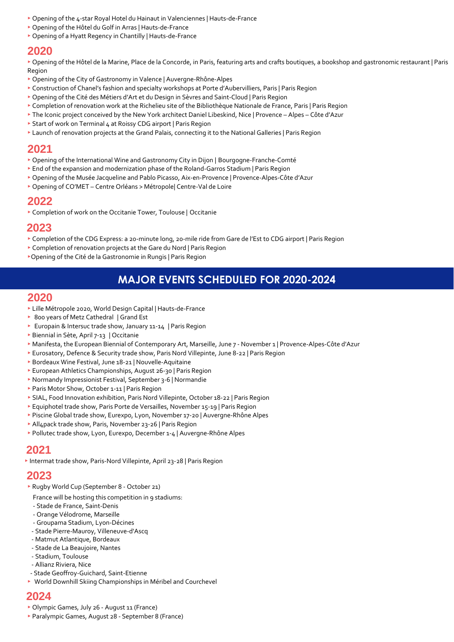- ▸ Opening of the 4-star Royal Hotel du Hainaut in Valenciennes | Hauts-de-France
- ▸ Opening of the Hôtel du Golf in Arras | Hauts-de-France
- ▸ Opening of a Hyatt Regency in Chantilly | Hauts-de-France

### **2020**

▸ Opening of the Hôtel de la Marine, Place de la Concorde, in Paris, featuring arts and crafts boutiques, a bookshop and gastronomic restaurant | Paris Region

- ▸ Opening of the City of Gastronomy in Valence | Auvergne-Rhône-Alpes
- ▸ Construction of Chanel's fashion and specialty workshops at Porte d'Aubervilliers, Paris | Paris Region
- ▸ Opening of the Cité des Métiers d'Art et du Design in Sèvres and Saint-Cloud | Paris Region
- ▸ Completion of renovation work at the Richelieu site of the Bibliothèque Nationale de France, Paris | Paris Region
- ▸ The Iconic project conceived by the New York architect Daniel Libeskind, Nice | Provence Alpes Côte d'Azur
- ▸ Start of work on Terminal 4 at Roissy CDG airport | Paris Region
- ▸ Launch of renovation projects at the Grand Palais, connecting it to the National Galleries | Paris Region

### **2021**

- ▸ Opening of the International Wine and Gastronomy City in Dijon | Bourgogne-Franche-Comté
- ▸ End of the expansion and modernization phase of the Roland-Garros Stadium | Paris Region
- ▸ Opening of the Musée Jacqueline and Pablo Picasso, Aix-en-Provence | Provence-Alpes-Côte d'Azur
- ▸ Opening of CO'MET Centre Orléans > Métropole| Centre-Val de Loire

### **2022**

▸ Completion of work on the Occitanie Tower, Toulouse | Occitanie

### **2023**

- ▸ Completion of the CDG Express: a 20-minute long, 20-mile ride from Gare de l'Est to CDG airport | Paris Region
- ▸ Completion of renovation projects at the Gare du Nord | Paris Region
- ▸Opening of the Cité de la Gastronomie in Rungis | Paris Region

### **MAJOR EVENTS SCHEDULED FOR 2020-2024**

### **2020**

- ▸ Lille Métropole 2020, World Design Capital | Hauts-de-France
- ▶ 800 years of Metz Cathedral | Grand Est
- ▶ Europain & Intersuc trade show, January 11-14 | Paris Region
- ▸ Biennial in Sète, April 7-13 | Occitanie
- ▸ Manifesta, the European Biennial of Contemporary Art, Marseille, June 7 November 1 | Provence-Alpes-Côte d'Azur
- ▸ Eurosatory, Defence & Security trade show, Paris Nord Villepinte, June 8-22 | Paris Region
- ▸ Bordeaux Wine Festival, June 18-21 | Nouvelle-Aquitaine
- ▸ European Athletics Championships, August 26-30 | Paris Region
- ▸ Normandy Impressionist Festival, September 3-6 | Normandie
- ▸ Paris Motor Show, October 1-11 | Paris Region
- ▸ SIAL, Food Innovation exhibition, Paris Nord Villepinte, October 18-22 | Paris Region
- ▸ Equiphotel trade show, Paris Porte de Versailles, November 15-19 | Paris Region
- ▸ Piscine Global trade show, Eurexpo, Lyon, November 17-20 | Auvergne-Rhône Alpes
- ▶ All4pack trade show, Paris, November 23-26 | Paris Region
- ▸ Pollutec trade show, Lyon, Eurexpo, December 1-4 | Auvergne-Rhône Alpes

### **2021**

▸ Intermat trade show, Paris-Nord Villepinte, April 23-28 | Paris Region

### **2023**

- ▸ Rugby World Cup (September 8 October 21)
- France will be hosting this competition in 9 stadiums:
- Stade de France, Saint-Denis
- Orange Vélodrome, Marseille
- Groupama Stadium, Lyon-Décines
- Stade Pierre-Mauroy, Villeneuve-d'Ascq
- Matmut Atlantique, Bordeaux
- Stade de La Beaujoire, Nantes
- Stadium, Toulouse
- Allianz Riviera, Nice
- Stade Geoffroy-Guichard, Saint-Etienne
- ▸ World Downhill Skiing Championships in Méribel and Courchevel

### **2024**

- ▸ Olympic Games, July 26 August 11 (France)
- ▸ Paralympic Games, August 28 September 8 (France)